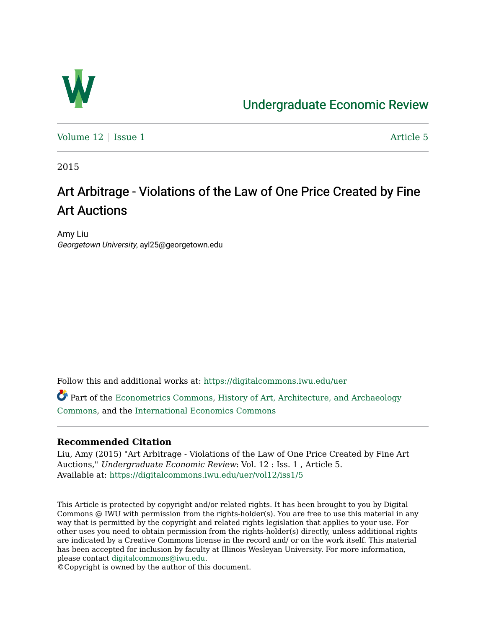

# [Undergraduate Economic Review](https://digitalcommons.iwu.edu/uer)

[Volume 12](https://digitalcommons.iwu.edu/uer/vol12) | [Issue 1](https://digitalcommons.iwu.edu/uer/vol12/iss1) Article 5

2015

# Art Arbitrage - Violations of the Law of One Price Created by Fine Art Auctions

Amy Liu Georgetown University, ayl25@georgetown.edu

Follow this and additional works at: [https://digitalcommons.iwu.edu/uer](https://digitalcommons.iwu.edu/uer?utm_source=digitalcommons.iwu.edu%2Fuer%2Fvol12%2Fiss1%2F5&utm_medium=PDF&utm_campaign=PDFCoverPages)

Part of the [Econometrics Commons](http://network.bepress.com/hgg/discipline/342?utm_source=digitalcommons.iwu.edu%2Fuer%2Fvol12%2Fiss1%2F5&utm_medium=PDF&utm_campaign=PDFCoverPages), [History of Art, Architecture, and Archaeology](http://network.bepress.com/hgg/discipline/510?utm_source=digitalcommons.iwu.edu%2Fuer%2Fvol12%2Fiss1%2F5&utm_medium=PDF&utm_campaign=PDFCoverPages) [Commons](http://network.bepress.com/hgg/discipline/510?utm_source=digitalcommons.iwu.edu%2Fuer%2Fvol12%2Fiss1%2F5&utm_medium=PDF&utm_campaign=PDFCoverPages), and the [International Economics Commons](http://network.bepress.com/hgg/discipline/348?utm_source=digitalcommons.iwu.edu%2Fuer%2Fvol12%2Fiss1%2F5&utm_medium=PDF&utm_campaign=PDFCoverPages) 

### **Recommended Citation**

Liu, Amy (2015) "Art Arbitrage - Violations of the Law of One Price Created by Fine Art Auctions," Undergraduate Economic Review: Vol. 12 : Iss. 1 , Article 5. Available at: [https://digitalcommons.iwu.edu/uer/vol12/iss1/5](https://digitalcommons.iwu.edu/uer/vol12/iss1/5?utm_source=digitalcommons.iwu.edu%2Fuer%2Fvol12%2Fiss1%2F5&utm_medium=PDF&utm_campaign=PDFCoverPages)

This Article is protected by copyright and/or related rights. It has been brought to you by Digital Commons @ IWU with permission from the rights-holder(s). You are free to use this material in any way that is permitted by the copyright and related rights legislation that applies to your use. For other uses you need to obtain permission from the rights-holder(s) directly, unless additional rights are indicated by a Creative Commons license in the record and/ or on the work itself. This material has been accepted for inclusion by faculty at Illinois Wesleyan University. For more information, please contact [digitalcommons@iwu.edu.](mailto:digitalcommons@iwu.edu)

©Copyright is owned by the author of this document.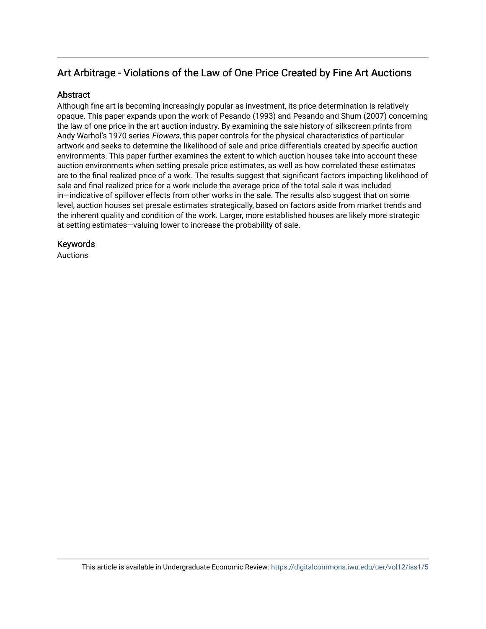# Art Arbitrage - Violations of the Law of One Price Created by Fine Art Auctions

### **Abstract**

Although fine art is becoming increasingly popular as investment, its price determination is relatively opaque. This paper expands upon the work of Pesando (1993) and Pesando and Shum (2007) concerning the law of one price in the art auction industry. By examining the sale history of silkscreen prints from Andy Warhol's 1970 series Flowers, this paper controls for the physical characteristics of particular artwork and seeks to determine the likelihood of sale and price differentials created by specific auction environments. This paper further examines the extent to which auction houses take into account these auction environments when setting presale price estimates, as well as how correlated these estimates are to the final realized price of a work. The results suggest that significant factors impacting likelihood of sale and final realized price for a work include the average price of the total sale it was included in—indicative of spillover effects from other works in the sale. The results also suggest that on some level, auction houses set presale estimates strategically, based on factors aside from market trends and the inherent quality and condition of the work. Larger, more established houses are likely more strategic at setting estimates—valuing lower to increase the probability of sale.

### Keywords

Auctions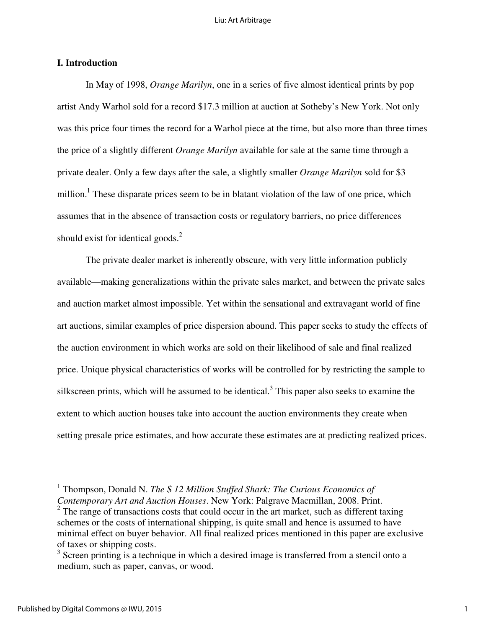### **I. Introduction**

In May of 1998, *Orange Marilyn*, one in a series of five almost identical prints by pop artist Andy Warhol sold for a record \$17.3 million at auction at Sotheby's New York. Not only was this price four times the record for a Warhol piece at the time, but also more than three times the price of a slightly different *Orange Marilyn* available for sale at the same time through a private dealer. Only a few days after the sale, a slightly smaller *Orange Marilyn* sold for \$3 million.<sup>1</sup> These disparate prices seem to be in blatant violation of the law of one price, which assumes that in the absence of transaction costs or regulatory barriers, no price differences should exist for identical goods. $^{2}$ 

 The private dealer market is inherently obscure, with very little information publicly available—making generalizations within the private sales market, and between the private sales and auction market almost impossible. Yet within the sensational and extravagant world of fine art auctions, similar examples of price dispersion abound. This paper seeks to study the effects of the auction environment in which works are sold on their likelihood of sale and final realized price. Unique physical characteristics of works will be controlled for by restricting the sample to silkscreen prints, which will be assumed to be identical.<sup>3</sup> This paper also seeks to examine the extent to which auction houses take into account the auction environments they create when setting presale price estimates, and how accurate these estimates are at predicting realized prices.

<sup>&</sup>lt;sup>1</sup> Thompson, Donald N. *The \$ 12 Million Stuffed Shark: The Curious Economics of Contemporary Art and Auction Houses*. New York: Palgrave Macmillan, 2008. Print.

 $2^2$  The range of transactions costs that could occur in the art market, such as different taxing schemes or the costs of international shipping, is quite small and hence is assumed to have minimal effect on buyer behavior. All final realized prices mentioned in this paper are exclusive of taxes or shipping costs.

 $3$  Screen printing is a technique in which a desired image is transferred from a stencil onto a medium, such as paper, canvas, or wood.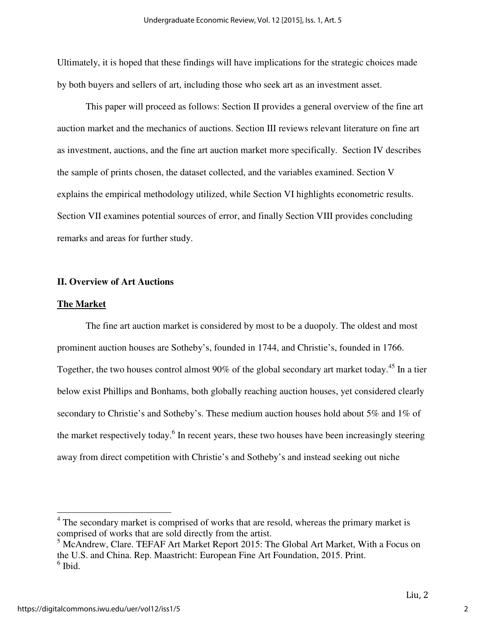Ultimately, it is hoped that these findings will have implications for the strategic choices made by both buyers and sellers of art, including those who seek art as an investment asset.

 This paper will proceed as follows: Section II provides a general overview of the fine art auction market and the mechanics of auctions. Section III reviews relevant literature on fine art as investment, auctions, and the fine art auction market more specifically. Section IV describes the sample of prints chosen, the dataset collected, and the variables examined. Section V explains the empirical methodology utilized, while Section VI highlights econometric results. Section VII examines potential sources of error, and finally Section VIII provides concluding remarks and areas for further study.

### **II. Overview of Art Auctions**

#### **The Market**

The fine art auction market is considered by most to be a duopoly. The oldest and most prominent auction houses are Sotheby's, founded in 1744, and Christie's, founded in 1766. Together, the two houses control almost 90% of the global secondary art market today.<sup>45</sup> In a tier below exist Phillips and Bonhams, both globally reaching auction houses, yet considered clearly secondary to Christie's and Sotheby's. These medium auction houses hold about 5% and 1% of the market respectively today.<sup>6</sup> In recent years, these two houses have been increasingly steering away from direct competition with Christie's and Sotheby's and instead seeking out niche

<u>.</u>

<sup>&</sup>lt;sup>4</sup> The secondary market is comprised of works that are resold, whereas the primary market is comprised of works that are sold directly from the artist.

<sup>&</sup>lt;sup>5</sup> McAndrew, Clare. TEFAF Art Market Report 2015: The Global Art Market, With a Focus on the U.S. and China. Rep. Maastricht: European Fine Art Foundation, 2015. Print.  $<sup>6</sup>$  Ibid.</sup>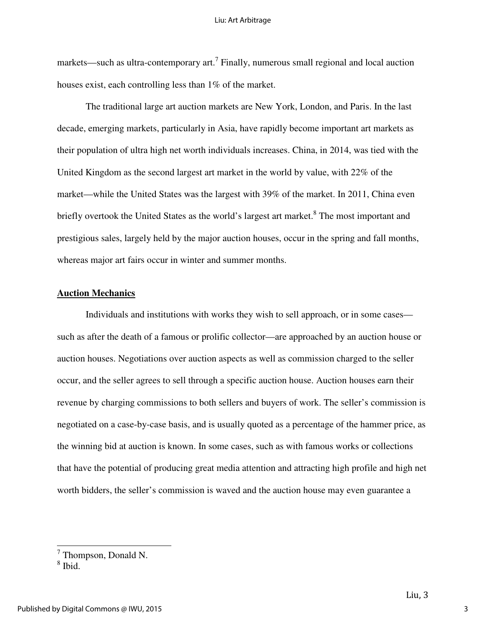markets—such as ultra-contemporary art.<sup>7</sup> Finally, numerous small regional and local auction houses exist, each controlling less than 1% of the market.

 The traditional large art auction markets are New York, London, and Paris. In the last decade, emerging markets, particularly in Asia, have rapidly become important art markets as their population of ultra high net worth individuals increases. China, in 2014, was tied with the United Kingdom as the second largest art market in the world by value, with 22% of the market—while the United States was the largest with 39% of the market. In 2011, China even briefly overtook the United States as the world's largest art market.<sup>8</sup> The most important and prestigious sales, largely held by the major auction houses, occur in the spring and fall months, whereas major art fairs occur in winter and summer months.

### **Auction Mechanics**

Individuals and institutions with works they wish to sell approach, or in some cases such as after the death of a famous or prolific collector—are approached by an auction house or auction houses. Negotiations over auction aspects as well as commission charged to the seller occur, and the seller agrees to sell through a specific auction house. Auction houses earn their revenue by charging commissions to both sellers and buyers of work. The seller's commission is negotiated on a case-by-case basis, and is usually quoted as a percentage of the hammer price, as the winning bid at auction is known. In some cases, such as with famous works or collections that have the potential of producing great media attention and attracting high profile and high net worth bidders, the seller's commission is waved and the auction house may even guarantee a

 7 Thompson, Donald N.

<sup>8</sup> Ibid.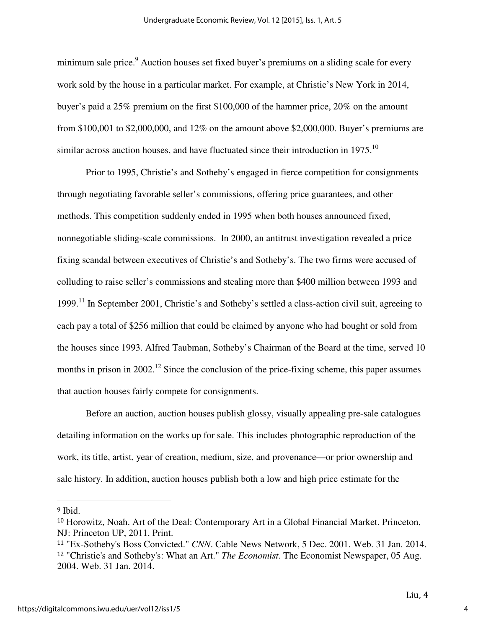minimum sale price.<sup>9</sup> Auction houses set fixed buyer's premiums on a sliding scale for every work sold by the house in a particular market. For example, at Christie's New York in 2014, buyer's paid a 25% premium on the first \$100,000 of the hammer price, 20% on the amount from \$100,001 to \$2,000,000, and 12% on the amount above \$2,000,000. Buyer's premiums are similar across auction houses, and have fluctuated since their introduction in  $1975$ .<sup>10</sup>

Prior to 1995, Christie's and Sotheby's engaged in fierce competition for consignments through negotiating favorable seller's commissions, offering price guarantees, and other methods. This competition suddenly ended in 1995 when both houses announced fixed, nonnegotiable sliding-scale commissions. In 2000, an antitrust investigation revealed a price fixing scandal between executives of Christie's and Sotheby's. The two firms were accused of colluding to raise seller's commissions and stealing more than \$400 million between 1993 and 1999.<sup>11</sup> In September 2001, Christie's and Sotheby's settled a class-action civil suit, agreeing to each pay a total of \$256 million that could be claimed by anyone who had bought or sold from the houses since 1993. Alfred Taubman, Sotheby's Chairman of the Board at the time, served 10 months in prison in 2002.<sup>12</sup> Since the conclusion of the price-fixing scheme, this paper assumes that auction houses fairly compete for consignments.

Before an auction, auction houses publish glossy, visually appealing pre-sale catalogues detailing information on the works up for sale. This includes photographic reproduction of the work, its title, artist, year of creation, medium, size, and provenance—or prior ownership and sale history. In addition, auction houses publish both a low and high price estimate for the

<sup>9</sup> Ibid.

<sup>10</sup> Horowitz, Noah. Art of the Deal: Contemporary Art in a Global Financial Market. Princeton, NJ: Princeton UP, 2011. Print.

<sup>11</sup> "Ex-Sotheby's Boss Convicted." *CNN*. Cable News Network, 5 Dec. 2001. Web. 31 Jan. 2014. <sup>12</sup> "Christie's and Sotheby's: What an Art." *The Economist*. The Economist Newspaper, 05 Aug. 2004. Web. 31 Jan. 2014.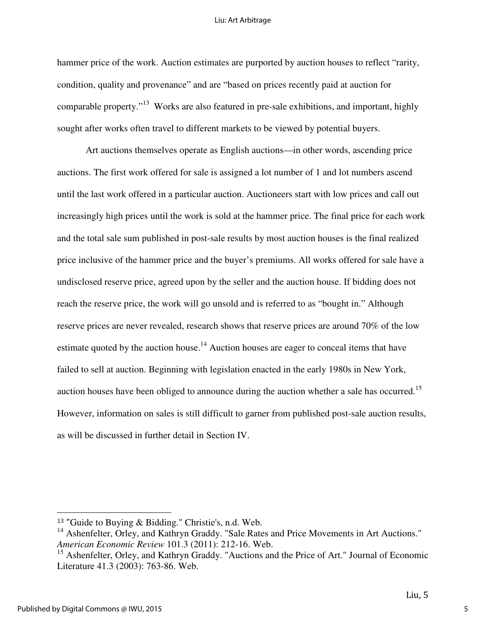#### Liu: Art Arbitrage

hammer price of the work. Auction estimates are purported by auction houses to reflect "rarity, condition, quality and provenance" and are "based on prices recently paid at auction for comparable property."<sup>13</sup> Works are also featured in pre-sale exhibitions, and important, highly sought after works often travel to different markets to be viewed by potential buyers.

Art auctions themselves operate as English auctions—in other words, ascending price auctions. The first work offered for sale is assigned a lot number of 1 and lot numbers ascend until the last work offered in a particular auction. Auctioneers start with low prices and call out increasingly high prices until the work is sold at the hammer price. The final price for each work and the total sale sum published in post-sale results by most auction houses is the final realized price inclusive of the hammer price and the buyer's premiums. All works offered for sale have a undisclosed reserve price, agreed upon by the seller and the auction house. If bidding does not reach the reserve price, the work will go unsold and is referred to as "bought in." Although reserve prices are never revealed, research shows that reserve prices are around 70% of the low estimate quoted by the auction house.<sup>14</sup> Auction houses are eager to conceal items that have failed to sell at auction. Beginning with legislation enacted in the early 1980s in New York, auction houses have been obliged to announce during the auction whether a sale has occurred.<sup>15</sup> However, information on sales is still difficult to garner from published post-sale auction results, as will be discussed in further detail in Section IV.

<sup>13</sup> "Guide to Buying & Bidding." Christie's, n.d. Web.

<sup>&</sup>lt;sup>14</sup> Ashenfelter, Orley, and Kathryn Graddy. "Sale Rates and Price Movements in Art Auctions." *American Economic Review* 101.3 (2011): 212-16. Web.

<sup>&</sup>lt;sup>15</sup> Ashenfelter, Orley, and Kathryn Graddy. "Auctions and the Price of Art." Journal of Economic Literature 41.3 (2003): 763-86. Web.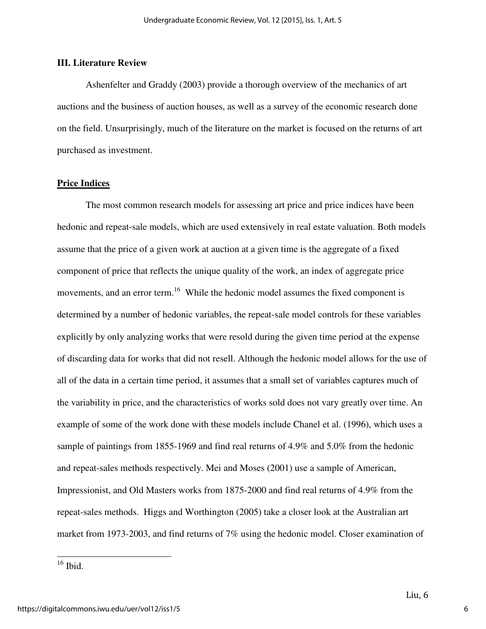### **III. Literature Review**

 Ashenfelter and Graddy (2003) provide a thorough overview of the mechanics of art auctions and the business of auction houses, as well as a survey of the economic research done on the field. Unsurprisingly, much of the literature on the market is focused on the returns of art purchased as investment.

### **Price Indices**

 The most common research models for assessing art price and price indices have been hedonic and repeat-sale models, which are used extensively in real estate valuation. Both models assume that the price of a given work at auction at a given time is the aggregate of a fixed component of price that reflects the unique quality of the work, an index of aggregate price movements, and an error term.<sup>16</sup> While the hedonic model assumes the fixed component is determined by a number of hedonic variables, the repeat-sale model controls for these variables explicitly by only analyzing works that were resold during the given time period at the expense of discarding data for works that did not resell. Although the hedonic model allows for the use of all of the data in a certain time period, it assumes that a small set of variables captures much of the variability in price, and the characteristics of works sold does not vary greatly over time. An example of some of the work done with these models include Chanel et al. (1996), which uses a sample of paintings from 1855-1969 and find real returns of 4.9% and 5.0% from the hedonic and repeat-sales methods respectively. Mei and Moses (2001) use a sample of American, Impressionist, and Old Masters works from 1875-2000 and find real returns of 4.9% from the repeat-sales methods. Higgs and Worthington (2005) take a closer look at the Australian art market from 1973-2003, and find returns of 7% using the hedonic model. Closer examination of

<u>.</u>

 $16$  Ibid.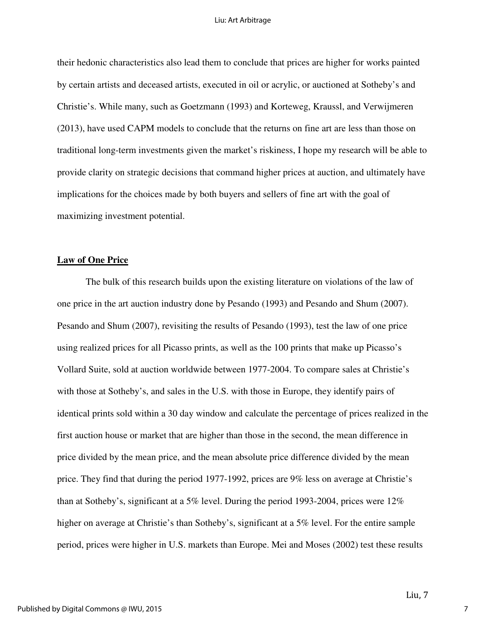#### Liu: Art Arbitrage

their hedonic characteristics also lead them to conclude that prices are higher for works painted by certain artists and deceased artists, executed in oil or acrylic, or auctioned at Sotheby's and Christie's. While many, such as Goetzmann (1993) and Korteweg, Kraussl, and Verwijmeren (2013), have used CAPM models to conclude that the returns on fine art are less than those on traditional long-term investments given the market's riskiness, I hope my research will be able to provide clarity on strategic decisions that command higher prices at auction, and ultimately have implications for the choices made by both buyers and sellers of fine art with the goal of maximizing investment potential.

### **Law of One Price**

 The bulk of this research builds upon the existing literature on violations of the law of one price in the art auction industry done by Pesando (1993) and Pesando and Shum (2007). Pesando and Shum (2007), revisiting the results of Pesando (1993), test the law of one price using realized prices for all Picasso prints, as well as the 100 prints that make up Picasso's Vollard Suite, sold at auction worldwide between 1977-2004. To compare sales at Christie's with those at Sotheby's, and sales in the U.S. with those in Europe, they identify pairs of identical prints sold within a 30 day window and calculate the percentage of prices realized in the first auction house or market that are higher than those in the second, the mean difference in price divided by the mean price, and the mean absolute price difference divided by the mean price. They find that during the period 1977-1992, prices are 9% less on average at Christie's than at Sotheby's, significant at a 5% level. During the period 1993-2004, prices were 12% higher on average at Christie's than Sotheby's, significant at a 5% level. For the entire sample period, prices were higher in U.S. markets than Europe. Mei and Moses (2002) test these results

7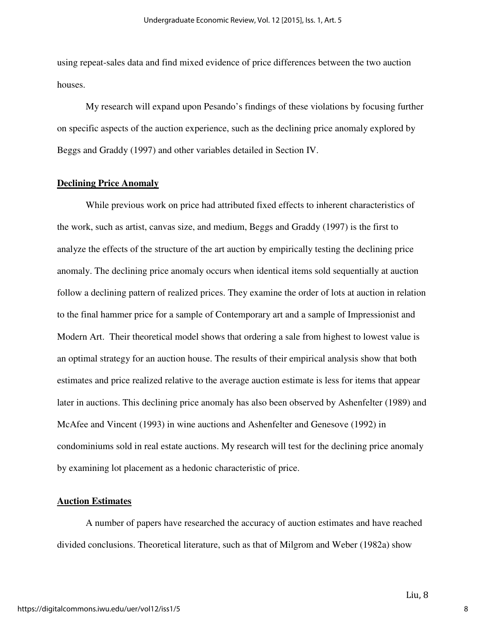using repeat-sales data and find mixed evidence of price differences between the two auction houses.

 My research will expand upon Pesando's findings of these violations by focusing further on specific aspects of the auction experience, such as the declining price anomaly explored by Beggs and Graddy (1997) and other variables detailed in Section IV.

### **Declining Price Anomaly**

 While previous work on price had attributed fixed effects to inherent characteristics of the work, such as artist, canvas size, and medium, Beggs and Graddy (1997) is the first to analyze the effects of the structure of the art auction by empirically testing the declining price anomaly. The declining price anomaly occurs when identical items sold sequentially at auction follow a declining pattern of realized prices. They examine the order of lots at auction in relation to the final hammer price for a sample of Contemporary art and a sample of Impressionist and Modern Art. Their theoretical model shows that ordering a sale from highest to lowest value is an optimal strategy for an auction house. The results of their empirical analysis show that both estimates and price realized relative to the average auction estimate is less for items that appear later in auctions. This declining price anomaly has also been observed by Ashenfelter (1989) and McAfee and Vincent (1993) in wine auctions and Ashenfelter and Genesove (1992) in condominiums sold in real estate auctions. My research will test for the declining price anomaly by examining lot placement as a hedonic characteristic of price.

#### **Auction Estimates**

 A number of papers have researched the accuracy of auction estimates and have reached divided conclusions. Theoretical literature, such as that of Milgrom and Weber (1982a) show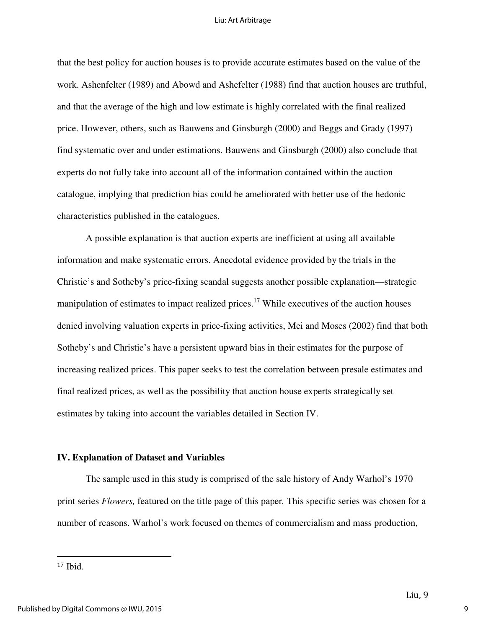#### Liu: Art Arbitrage

that the best policy for auction houses is to provide accurate estimates based on the value of the work. Ashenfelter (1989) and Abowd and Ashefelter (1988) find that auction houses are truthful, and that the average of the high and low estimate is highly correlated with the final realized price. However, others, such as Bauwens and Ginsburgh (2000) and Beggs and Grady (1997) find systematic over and under estimations. Bauwens and Ginsburgh (2000) also conclude that experts do not fully take into account all of the information contained within the auction catalogue, implying that prediction bias could be ameliorated with better use of the hedonic characteristics published in the catalogues.

A possible explanation is that auction experts are inefficient at using all available information and make systematic errors. Anecdotal evidence provided by the trials in the Christie's and Sotheby's price-fixing scandal suggests another possible explanation—strategic manipulation of estimates to impact realized prices.<sup>17</sup> While executives of the auction houses denied involving valuation experts in price-fixing activities, Mei and Moses (2002) find that both Sotheby's and Christie's have a persistent upward bias in their estimates for the purpose of increasing realized prices. This paper seeks to test the correlation between presale estimates and final realized prices, as well as the possibility that auction house experts strategically set estimates by taking into account the variables detailed in Section IV.

#### **IV. Explanation of Dataset and Variables**

The sample used in this study is comprised of the sale history of Andy Warhol's 1970 print series *Flowers,* featured on the title page of this paper*.* This specific series was chosen for a number of reasons. Warhol's work focused on themes of commercialism and mass production,

<sup>17</sup> Ibid.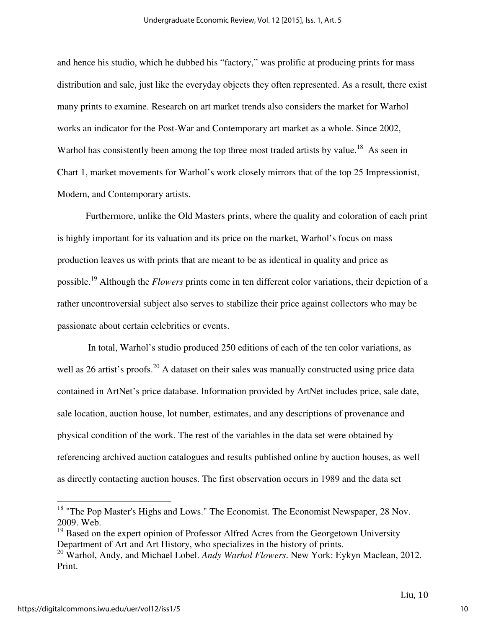and hence his studio, which he dubbed his "factory," was prolific at producing prints for mass distribution and sale, just like the everyday objects they often represented. As a result, there exist many prints to examine. Research on art market trends also considers the market for Warhol works an indicator for the Post-War and Contemporary art market as a whole. Since 2002, Warhol has consistently been among the top three most traded artists by value.<sup>18</sup> As seen in Chart 1, market movements for Warhol's work closely mirrors that of the top 25 Impressionist, Modern, and Contemporary artists.

Furthermore, unlike the Old Masters prints, where the quality and coloration of each print is highly important for its valuation and its price on the market, Warhol's focus on mass production leaves us with prints that are meant to be as identical in quality and price as possible.<sup>19</sup> Although the *Flowers* prints come in ten different color variations, their depiction of a rather uncontroversial subject also serves to stabilize their price against collectors who may be passionate about certain celebrities or events.

 In total, Warhol's studio produced 250 editions of each of the ten color variations, as well as 26 artist's proofs.<sup>20</sup> A dataset on their sales was manually constructed using price data contained in ArtNet's price database. Information provided by ArtNet includes price, sale date, sale location, auction house, lot number, estimates, and any descriptions of provenance and physical condition of the work. The rest of the variables in the data set were obtained by referencing archived auction catalogues and results published online by auction houses, as well as directly contacting auction houses. The first observation occurs in 1989 and the data set

<sup>&</sup>lt;sup>18</sup> "The Pop Master's Highs and Lows." The Economist. The Economist Newspaper, 28 Nov. 2009. Web.

<sup>&</sup>lt;sup>19</sup> Based on the expert opinion of Professor Alfred Acres from the Georgetown University Department of Art and Art History, who specializes in the history of prints.

<sup>20</sup> Warhol, Andy, and Michael Lobel. *Andy Warhol Flowers*. New York: Eykyn Maclean, 2012. Print.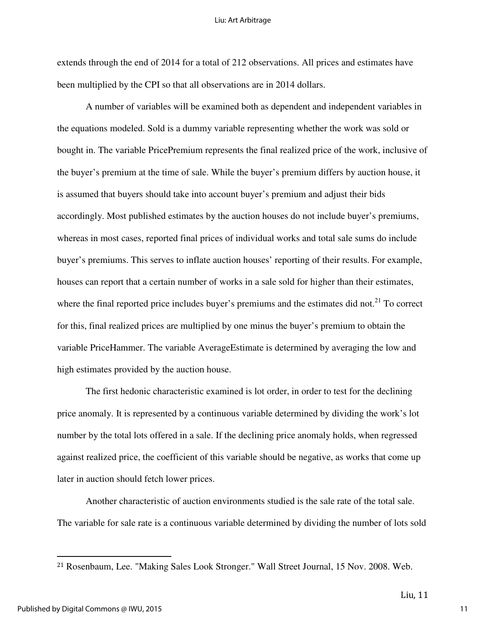#### Liu: Art Arbitrage

extends through the end of 2014 for a total of 212 observations. All prices and estimates have been multiplied by the CPI so that all observations are in 2014 dollars.

A number of variables will be examined both as dependent and independent variables in the equations modeled. Sold is a dummy variable representing whether the work was sold or bought in. The variable PricePremium represents the final realized price of the work, inclusive of the buyer's premium at the time of sale. While the buyer's premium differs by auction house, it is assumed that buyers should take into account buyer's premium and adjust their bids accordingly. Most published estimates by the auction houses do not include buyer's premiums, whereas in most cases, reported final prices of individual works and total sale sums do include buyer's premiums. This serves to inflate auction houses' reporting of their results. For example, houses can report that a certain number of works in a sale sold for higher than their estimates, where the final reported price includes buyer's premiums and the estimates did not.<sup>21</sup> To correct for this, final realized prices are multiplied by one minus the buyer's premium to obtain the variable PriceHammer. The variable AverageEstimate is determined by averaging the low and high estimates provided by the auction house.

 The first hedonic characteristic examined is lot order, in order to test for the declining price anomaly. It is represented by a continuous variable determined by dividing the work's lot number by the total lots offered in a sale. If the declining price anomaly holds, when regressed against realized price, the coefficient of this variable should be negative, as works that come up later in auction should fetch lower prices.

 Another characteristic of auction environments studied is the sale rate of the total sale. The variable for sale rate is a continuous variable determined by dividing the number of lots sold

<sup>21</sup> Rosenbaum, Lee. "Making Sales Look Stronger." Wall Street Journal, 15 Nov. 2008. Web.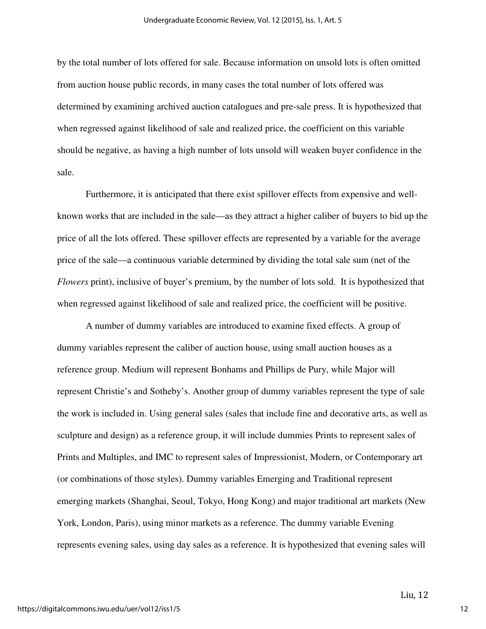by the total number of lots offered for sale. Because information on unsold lots is often omitted from auction house public records, in many cases the total number of lots offered was determined by examining archived auction catalogues and pre-sale press. It is hypothesized that when regressed against likelihood of sale and realized price, the coefficient on this variable should be negative, as having a high number of lots unsold will weaken buyer confidence in the sale.

 Furthermore, it is anticipated that there exist spillover effects from expensive and wellknown works that are included in the sale—as they attract a higher caliber of buyers to bid up the price of all the lots offered. These spillover effects are represented by a variable for the average price of the sale—a continuous variable determined by dividing the total sale sum (net of the *Flowers* print), inclusive of buyer's premium, by the number of lots sold. It is hypothesized that when regressed against likelihood of sale and realized price, the coefficient will be positive.

 A number of dummy variables are introduced to examine fixed effects. A group of dummy variables represent the caliber of auction house, using small auction houses as a reference group. Medium will represent Bonhams and Phillips de Pury, while Major will represent Christie's and Sotheby's. Another group of dummy variables represent the type of sale the work is included in. Using general sales (sales that include fine and decorative arts, as well as sculpture and design) as a reference group, it will include dummies Prints to represent sales of Prints and Multiples, and IMC to represent sales of Impressionist, Modern, or Contemporary art (or combinations of those styles). Dummy variables Emerging and Traditional represent emerging markets (Shanghai, Seoul, Tokyo, Hong Kong) and major traditional art markets (New York, London, Paris), using minor markets as a reference. The dummy variable Evening represents evening sales, using day sales as a reference. It is hypothesized that evening sales will

Liu, 12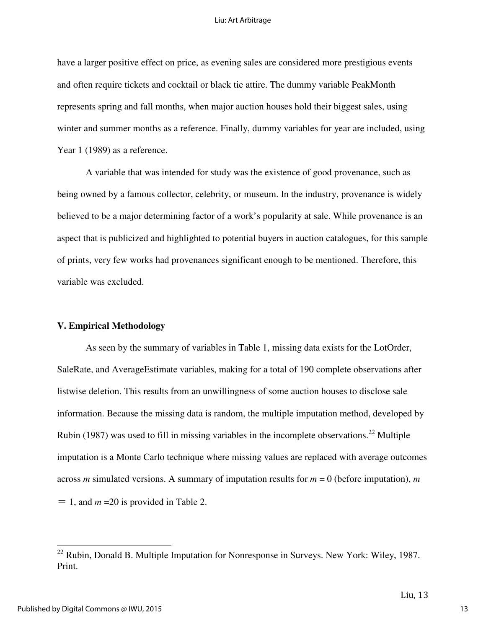have a larger positive effect on price, as evening sales are considered more prestigious events and often require tickets and cocktail or black tie attire. The dummy variable PeakMonth represents spring and fall months, when major auction houses hold their biggest sales, using winter and summer months as a reference. Finally, dummy variables for year are included, using Year 1 (1989) as a reference.

 A variable that was intended for study was the existence of good provenance, such as being owned by a famous collector, celebrity, or museum. In the industry, provenance is widely believed to be a major determining factor of a work's popularity at sale. While provenance is an aspect that is publicized and highlighted to potential buyers in auction catalogues, for this sample of prints, very few works had provenances significant enough to be mentioned. Therefore, this variable was excluded.

### **V. Empirical Methodology**

As seen by the summary of variables in Table 1, missing data exists for the LotOrder, SaleRate, and AverageEstimate variables, making for a total of 190 complete observations after listwise deletion. This results from an unwillingness of some auction houses to disclose sale information. Because the missing data is random, the multiple imputation method, developed by Rubin (1987) was used to fill in missing variables in the incomplete observations.<sup>22</sup> Multiple imputation is a Monte Carlo technique where missing values are replaced with average outcomes across *m* simulated versions. A summary of imputation results for *m* = 0 (before imputation), *m*  $= 1$ , and  $m = 20$  is provided in Table 2.

<u>.</u>

 $22$  Rubin, Donald B. Multiple Imputation for Nonresponse in Surveys. New York: Wiley, 1987. Print.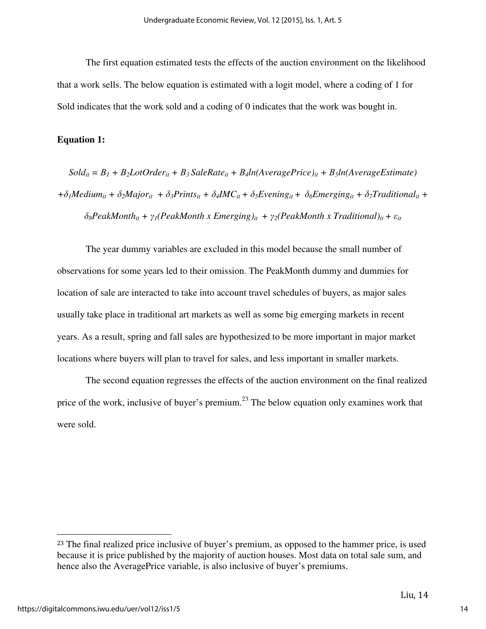The first equation estimated tests the effects of the auction environment on the likelihood that a work sells. The below equation is estimated with a logit model, where a coding of 1 for Sold indicates that the work sold and a coding of 0 indicates that the work was bought in.

### **Equation 1:**

 $Sold_{it} = B_1 + B_2$ LotOrder<sub>*it*</sub> +  $B_3$ SaleRate<sub>it</sub> +  $B_4ln(AveragePrice)_{it} + B_5ln(AverageEstimate)$  $+\delta_1 Medium_{it} + \delta_2 Major_{it} + \delta_3 Prints_{it} + \delta_4 IMC_{it} + \delta_5 Evening_{it} + \delta_6 Emerging_{it} + \delta_7 Traditional_{it} +$  $\delta_{8}$ *PeakMonth*<sub>*it*</sub> +  $\gamma_{1}$ (*PeakMonth x Emerging*)<sub>*it*</sub> +  $\gamma_{2}$ (*PeakMonth x Traditional*)<sub>*it*</sub> +  $\varepsilon_{it}$ 

The year dummy variables are excluded in this model because the small number of observations for some years led to their omission. The PeakMonth dummy and dummies for location of sale are interacted to take into account travel schedules of buyers, as major sales usually take place in traditional art markets as well as some big emerging markets in recent years. As a result, spring and fall sales are hypothesized to be more important in major market locations where buyers will plan to travel for sales, and less important in smaller markets.

 The second equation regresses the effects of the auction environment on the final realized price of the work, inclusive of buyer's premium.<sup>23</sup> The below equation only examines work that were sold.

<sup>&</sup>lt;sup>23</sup> The final realized price inclusive of buyer's premium, as opposed to the hammer price, is used because it is price published by the majority of auction houses. Most data on total sale sum, and hence also the AveragePrice variable, is also inclusive of buyer's premiums.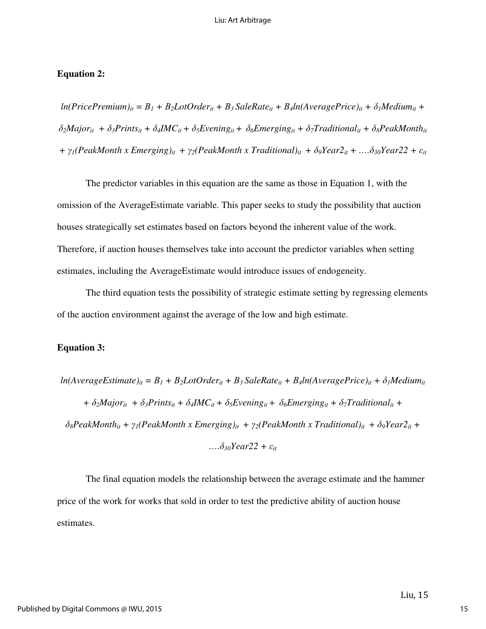### **Equation 2:**

 $ln(Price Premium)_{it} = B_1 + B_2 LotOrder_{it} + B_3 SaleRate_{it} + B_4 ln(Average Price)_{it} + \delta_1 Medium_{it} +$  $\delta_2 Major_{it} + \delta_3 Print_{si} + \delta_4 IMC_{it} + \delta_5 Evening_{it} + \delta_6 Emerging_{it} + \delta_7 Traditional_{it} + \delta_8 PeakMonth_{it}$ *+* γ*1(PeakMonth x Emerging)it +* γ*2(PeakMonth x Traditional)it +* δ*9Year2it + ….*δ*30Year22 +* ε*it* 

 The predictor variables in this equation are the same as those in Equation 1, with the omission of the AverageEstimate variable. This paper seeks to study the possibility that auction houses strategically set estimates based on factors beyond the inherent value of the work. Therefore, if auction houses themselves take into account the predictor variables when setting estimates, including the AverageEstimate would introduce issues of endogeneity.

 The third equation tests the possibility of strategic estimate setting by regressing elements of the auction environment against the average of the low and high estimate.

### **Equation 3:**

 $ln(Average Estimate)_{it} = B_1 + B_2 LotOrder_{it} + B_3 SaleRate_{it} + B_4 ln(Average Price)_{it} + \delta_1 Median_{it}$ +  $\delta_2$ Major<sub>it</sub> +  $\delta_3$ Prints<sub>it</sub> +  $\delta_4$ IMC<sub>it</sub> +  $\delta_5$ Evening<sub>it</sub> +  $\delta_6$ Emerging<sub>it</sub> +  $\delta_7$ Traditional<sub>it</sub> +  $\delta_{8}$ *PeakMonth*<sub>*it*</sub> +  $\gamma_{1}$ (*PeakMonth x Emerging*)<sub>*it*</sub> +  $\gamma_{2}$ (*PeakMonth x Traditional*)<sub>*it*</sub> +  $\delta_{9}$ *Year*2<sub>*it*</sub> + *….*δ*30Year22 +* ε*it* 

The final equation models the relationship between the average estimate and the hammer price of the work for works that sold in order to test the predictive ability of auction house estimates.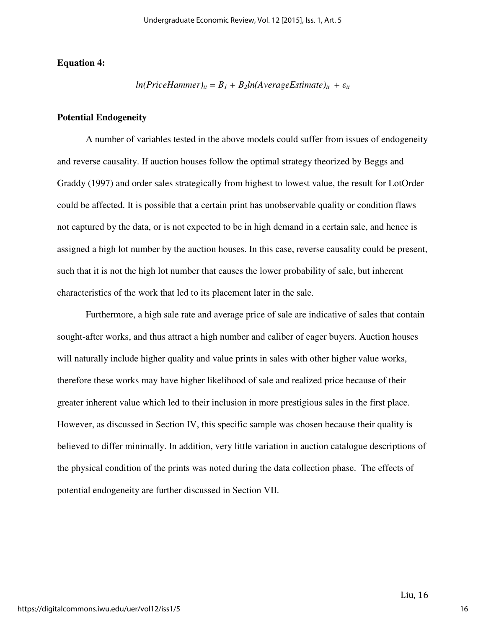### **Equation 4:**

 $ln(PriceHammer)_{it} = B_1 + B_2ln(AverageEstimate)_{it} + \varepsilon_{it}$ 

### **Potential Endogeneity**

A number of variables tested in the above models could suffer from issues of endogeneity and reverse causality. If auction houses follow the optimal strategy theorized by Beggs and Graddy (1997) and order sales strategically from highest to lowest value, the result for LotOrder could be affected. It is possible that a certain print has unobservable quality or condition flaws not captured by the data, or is not expected to be in high demand in a certain sale, and hence is assigned a high lot number by the auction houses. In this case, reverse causality could be present, such that it is not the high lot number that causes the lower probability of sale, but inherent characteristics of the work that led to its placement later in the sale.

 Furthermore, a high sale rate and average price of sale are indicative of sales that contain sought-after works, and thus attract a high number and caliber of eager buyers. Auction houses will naturally include higher quality and value prints in sales with other higher value works, therefore these works may have higher likelihood of sale and realized price because of their greater inherent value which led to their inclusion in more prestigious sales in the first place. However, as discussed in Section IV, this specific sample was chosen because their quality is believed to differ minimally. In addition, very little variation in auction catalogue descriptions of the physical condition of the prints was noted during the data collection phase. The effects of potential endogeneity are further discussed in Section VII.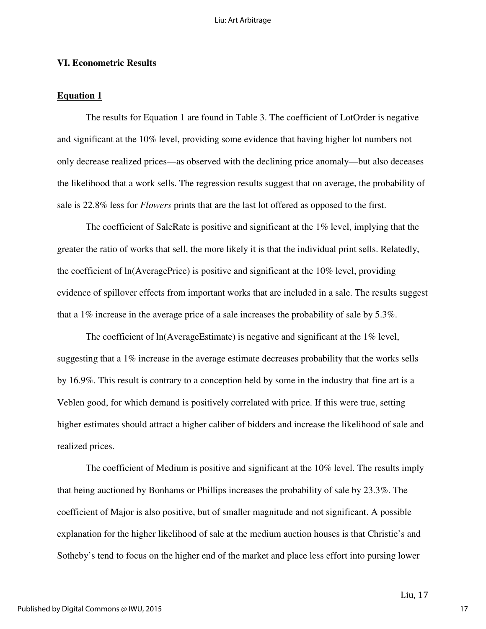### **VI. Econometric Results**

### **Equation 1**

 The results for Equation 1 are found in Table 3. The coefficient of LotOrder is negative and significant at the 10% level, providing some evidence that having higher lot numbers not only decrease realized prices—as observed with the declining price anomaly—but also deceases the likelihood that a work sells. The regression results suggest that on average, the probability of sale is 22.8% less for *Flowers* prints that are the last lot offered as opposed to the first.

 The coefficient of SaleRate is positive and significant at the 1% level, implying that the greater the ratio of works that sell, the more likely it is that the individual print sells. Relatedly, the coefficient of ln(AveragePrice) is positive and significant at the 10% level, providing evidence of spillover effects from important works that are included in a sale. The results suggest that a 1% increase in the average price of a sale increases the probability of sale by 5.3%.

The coefficient of ln(AverageEstimate) is negative and significant at the 1% level, suggesting that a 1% increase in the average estimate decreases probability that the works sells by 16.9%. This result is contrary to a conception held by some in the industry that fine art is a Veblen good, for which demand is positively correlated with price. If this were true, setting higher estimates should attract a higher caliber of bidders and increase the likelihood of sale and realized prices.

 The coefficient of Medium is positive and significant at the 10% level. The results imply that being auctioned by Bonhams or Phillips increases the probability of sale by 23.3%. The coefficient of Major is also positive, but of smaller magnitude and not significant. A possible explanation for the higher likelihood of sale at the medium auction houses is that Christie's and Sotheby's tend to focus on the higher end of the market and place less effort into pursing lower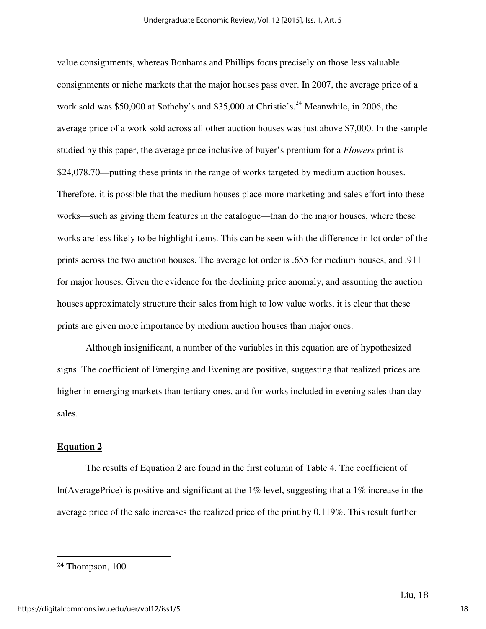value consignments, whereas Bonhams and Phillips focus precisely on those less valuable consignments or niche markets that the major houses pass over. In 2007, the average price of a work sold was  $$50,000$  at Sotheby's and  $$35,000$  at Christie's.<sup>24</sup> Meanwhile, in 2006, the average price of a work sold across all other auction houses was just above \$7,000. In the sample studied by this paper, the average price inclusive of buyer's premium for a *Flowers* print is \$24,078.70—putting these prints in the range of works targeted by medium auction houses. Therefore, it is possible that the medium houses place more marketing and sales effort into these works—such as giving them features in the catalogue—than do the major houses, where these works are less likely to be highlight items. This can be seen with the difference in lot order of the prints across the two auction houses. The average lot order is .655 for medium houses, and .911 for major houses. Given the evidence for the declining price anomaly, and assuming the auction houses approximately structure their sales from high to low value works, it is clear that these prints are given more importance by medium auction houses than major ones.

 Although insignificant, a number of the variables in this equation are of hypothesized signs. The coefficient of Emerging and Evening are positive, suggesting that realized prices are higher in emerging markets than tertiary ones, and for works included in evening sales than day sales.

### **Equation 2**

 The results of Equation 2 are found in the first column of Table 4. The coefficient of ln(AveragePrice) is positive and significant at the  $1\%$  level, suggesting that a  $1\%$  increase in the average price of the sale increases the realized price of the print by 0.119%. This result further

<u>.</u>

<sup>24</sup> Thompson, 100.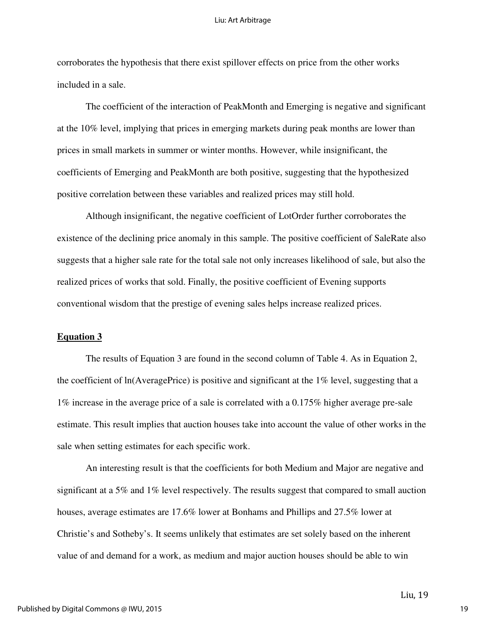#### Liu: Art Arbitrage

corroborates the hypothesis that there exist spillover effects on price from the other works included in a sale.

 The coefficient of the interaction of PeakMonth and Emerging is negative and significant at the 10% level, implying that prices in emerging markets during peak months are lower than prices in small markets in summer or winter months. However, while insignificant, the coefficients of Emerging and PeakMonth are both positive, suggesting that the hypothesized positive correlation between these variables and realized prices may still hold.

 Although insignificant, the negative coefficient of LotOrder further corroborates the existence of the declining price anomaly in this sample. The positive coefficient of SaleRate also suggests that a higher sale rate for the total sale not only increases likelihood of sale, but also the realized prices of works that sold. Finally, the positive coefficient of Evening supports conventional wisdom that the prestige of evening sales helps increase realized prices.

#### **Equation 3**

 The results of Equation 3 are found in the second column of Table 4. As in Equation 2, the coefficient of  $ln(AveragePrice)$  is positive and significant at the  $1\%$  level, suggesting that a 1% increase in the average price of a sale is correlated with a 0.175% higher average pre-sale estimate. This result implies that auction houses take into account the value of other works in the sale when setting estimates for each specific work.

 An interesting result is that the coefficients for both Medium and Major are negative and significant at a 5% and 1% level respectively. The results suggest that compared to small auction houses, average estimates are 17.6% lower at Bonhams and Phillips and 27.5% lower at Christie's and Sotheby's. It seems unlikely that estimates are set solely based on the inherent value of and demand for a work, as medium and major auction houses should be able to win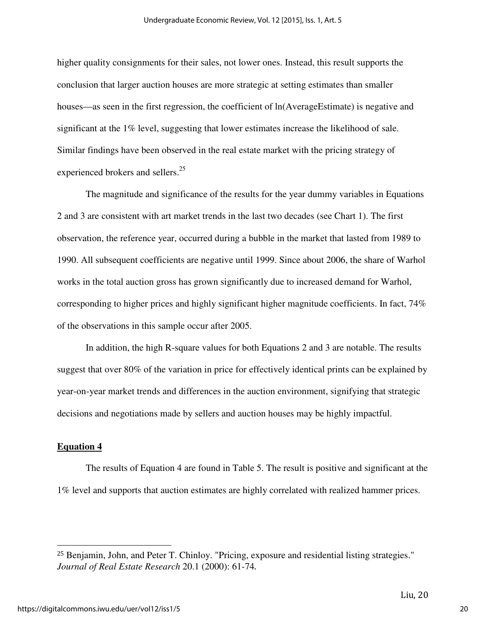higher quality consignments for their sales, not lower ones. Instead, this result supports the conclusion that larger auction houses are more strategic at setting estimates than smaller houses—as seen in the first regression, the coefficient of  $ln(AverageEstimate)$  is negative and significant at the 1% level, suggesting that lower estimates increase the likelihood of sale. Similar findings have been observed in the real estate market with the pricing strategy of experienced brokers and sellers.<sup>25</sup>

The magnitude and significance of the results for the year dummy variables in Equations 2 and 3 are consistent with art market trends in the last two decades (see Chart 1). The first observation, the reference year, occurred during a bubble in the market that lasted from 1989 to 1990. All subsequent coefficients are negative until 1999. Since about 2006, the share of Warhol works in the total auction gross has grown significantly due to increased demand for Warhol, corresponding to higher prices and highly significant higher magnitude coefficients. In fact, 74% of the observations in this sample occur after 2005.

In addition, the high R-square values for both Equations 2 and 3 are notable. The results suggest that over 80% of the variation in price for effectively identical prints can be explained by year-on-year market trends and differences in the auction environment, signifying that strategic decisions and negotiations made by sellers and auction houses may be highly impactful.

### **Equation 4**

 $\overline{a}$ 

 The results of Equation 4 are found in Table 5. The result is positive and significant at the 1% level and supports that auction estimates are highly correlated with realized hammer prices.

<sup>25</sup> Benjamin, John, and Peter T. Chinloy. "Pricing, exposure and residential listing strategies." *Journal of Real Estate Research* 20.1 (2000): 61-74.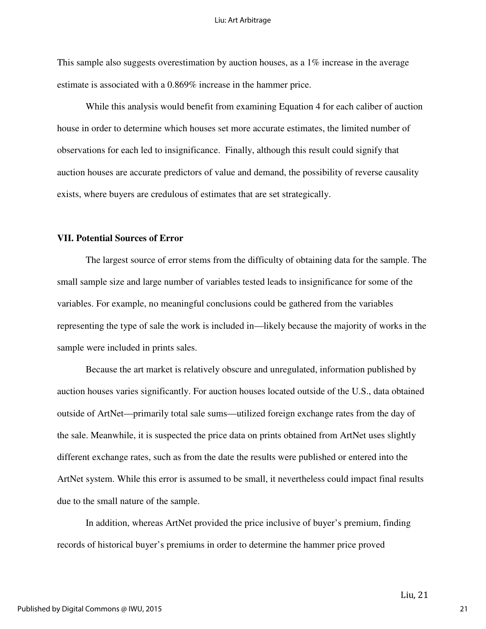This sample also suggests overestimation by auction houses, as a 1% increase in the average estimate is associated with a 0.869% increase in the hammer price.

 While this analysis would benefit from examining Equation 4 for each caliber of auction house in order to determine which houses set more accurate estimates, the limited number of observations for each led to insignificance. Finally, although this result could signify that auction houses are accurate predictors of value and demand, the possibility of reverse causality exists, where buyers are credulous of estimates that are set strategically.

### **VII. Potential Sources of Error**

 The largest source of error stems from the difficulty of obtaining data for the sample. The small sample size and large number of variables tested leads to insignificance for some of the variables. For example, no meaningful conclusions could be gathered from the variables representing the type of sale the work is included in—likely because the majority of works in the sample were included in prints sales.

 Because the art market is relatively obscure and unregulated, information published by auction houses varies significantly. For auction houses located outside of the U.S., data obtained outside of ArtNet—primarily total sale sums—utilized foreign exchange rates from the day of the sale. Meanwhile, it is suspected the price data on prints obtained from ArtNet uses slightly different exchange rates, such as from the date the results were published or entered into the ArtNet system. While this error is assumed to be small, it nevertheless could impact final results due to the small nature of the sample.

 In addition, whereas ArtNet provided the price inclusive of buyer's premium, finding records of historical buyer's premiums in order to determine the hammer price proved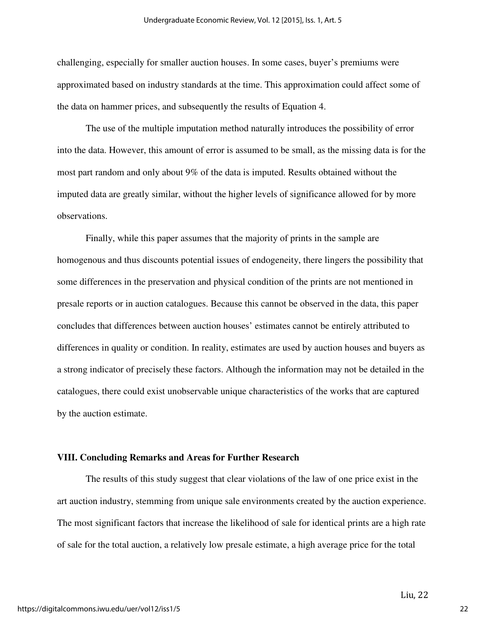challenging, especially for smaller auction houses. In some cases, buyer's premiums were approximated based on industry standards at the time. This approximation could affect some of the data on hammer prices, and subsequently the results of Equation 4.

 The use of the multiple imputation method naturally introduces the possibility of error into the data. However, this amount of error is assumed to be small, as the missing data is for the most part random and only about 9% of the data is imputed. Results obtained without the imputed data are greatly similar, without the higher levels of significance allowed for by more observations.

 Finally, while this paper assumes that the majority of prints in the sample are homogenous and thus discounts potential issues of endogeneity, there lingers the possibility that some differences in the preservation and physical condition of the prints are not mentioned in presale reports or in auction catalogues. Because this cannot be observed in the data, this paper concludes that differences between auction houses' estimates cannot be entirely attributed to differences in quality or condition. In reality, estimates are used by auction houses and buyers as a strong indicator of precisely these factors. Although the information may not be detailed in the catalogues, there could exist unobservable unique characteristics of the works that are captured by the auction estimate.

#### **VIII. Concluding Remarks and Areas for Further Research**

The results of this study suggest that clear violations of the law of one price exist in the art auction industry, stemming from unique sale environments created by the auction experience. The most significant factors that increase the likelihood of sale for identical prints are a high rate of sale for the total auction, a relatively low presale estimate, a high average price for the total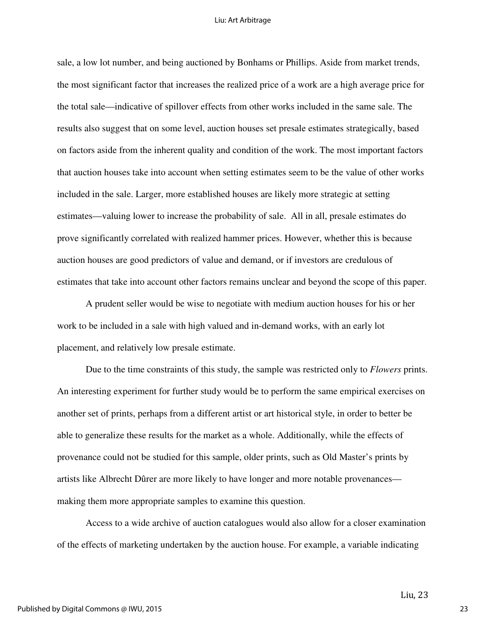#### Liu: Art Arbitrage

sale, a low lot number, and being auctioned by Bonhams or Phillips. Aside from market trends, the most significant factor that increases the realized price of a work are a high average price for the total sale—indicative of spillover effects from other works included in the same sale. The results also suggest that on some level, auction houses set presale estimates strategically, based on factors aside from the inherent quality and condition of the work. The most important factors that auction houses take into account when setting estimates seem to be the value of other works included in the sale. Larger, more established houses are likely more strategic at setting estimates—valuing lower to increase the probability of sale. All in all, presale estimates do prove significantly correlated with realized hammer prices. However, whether this is because auction houses are good predictors of value and demand, or if investors are credulous of estimates that take into account other factors remains unclear and beyond the scope of this paper.

 A prudent seller would be wise to negotiate with medium auction houses for his or her work to be included in a sale with high valued and in-demand works, with an early lot placement, and relatively low presale estimate.

 Due to the time constraints of this study, the sample was restricted only to *Flowers* prints. An interesting experiment for further study would be to perform the same empirical exercises on another set of prints, perhaps from a different artist or art historical style, in order to better be able to generalize these results for the market as a whole. Additionally, while the effects of provenance could not be studied for this sample, older prints, such as Old Master's prints by artists like Albrecht Dûrer are more likely to have longer and more notable provenances making them more appropriate samples to examine this question.

Access to a wide archive of auction catalogues would also allow for a closer examination of the effects of marketing undertaken by the auction house. For example, a variable indicating

Liu, 23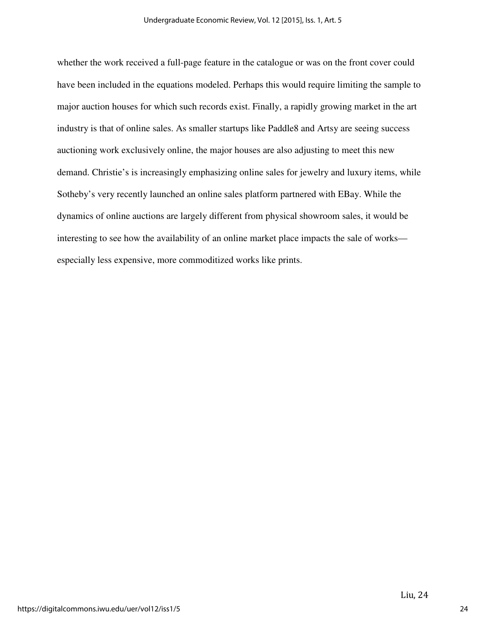whether the work received a full-page feature in the catalogue or was on the front cover could have been included in the equations modeled. Perhaps this would require limiting the sample to major auction houses for which such records exist. Finally, a rapidly growing market in the art industry is that of online sales. As smaller startups like Paddle8 and Artsy are seeing success auctioning work exclusively online, the major houses are also adjusting to meet this new demand. Christie's is increasingly emphasizing online sales for jewelry and luxury items, while Sotheby's very recently launched an online sales platform partnered with EBay. While the dynamics of online auctions are largely different from physical showroom sales, it would be interesting to see how the availability of an online market place impacts the sale of works especially less expensive, more commoditized works like prints.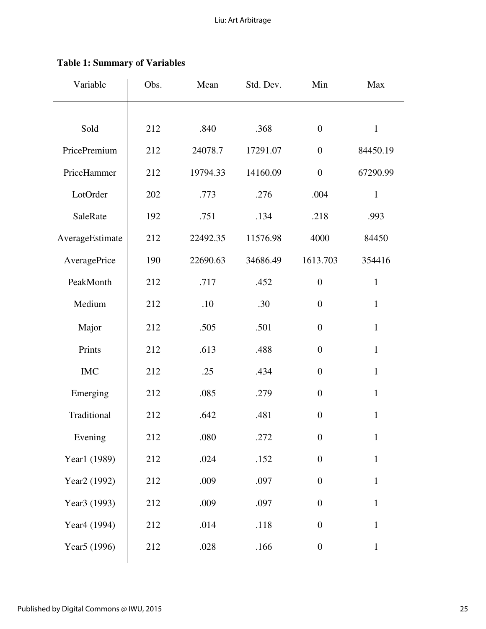| Variable                 | Obs. | Mean     | Std. Dev. | Min              | Max          |
|--------------------------|------|----------|-----------|------------------|--------------|
|                          |      |          |           |                  |              |
| Sold                     | 212  | .840     | .368      | $\boldsymbol{0}$ | $\mathbf{1}$ |
| PricePremium             | 212  | 24078.7  | 17291.07  | $\boldsymbol{0}$ | 84450.19     |
| PriceHammer              | 212  | 19794.33 | 14160.09  | $\boldsymbol{0}$ | 67290.99     |
| LotOrder                 | 202  | .773     | .276      | .004             | $\mathbf{1}$ |
| SaleRate                 | 192  | .751     | .134      | .218             | .993         |
| AverageEstimate          | 212  | 22492.35 | 11576.98  | 4000             | 84450        |
| AveragePrice             | 190  | 22690.63 | 34686.49  | 1613.703         | 354416       |
| PeakMonth                | 212  | .717     | .452      | $\boldsymbol{0}$ | $\mathbf{1}$ |
| Medium                   | 212  | .10      | .30       | $\boldsymbol{0}$ | $\mathbf{1}$ |
| Major                    | 212  | .505     | .501      | $\overline{0}$   | $\mathbf{1}$ |
| Prints                   | 212  | .613     | .488      | $\boldsymbol{0}$ | $\mathbf{1}$ |
| $IMC$                    | 212  | .25      | .434      | $\overline{0}$   | $\mathbf{1}$ |
| Emerging                 | 212  | .085     | .279      | $\boldsymbol{0}$ | $\mathbf{1}$ |
| Traditional              | 212  | .642     | .481      | $\overline{0}$   | $\mathbf{1}$ |
| Evening                  | 212  | .080     | .272      | $\boldsymbol{0}$ | $\mathbf{1}$ |
| Year1 (1989)             | 212  | .024     | .152      | $\boldsymbol{0}$ | $\mathbf{1}$ |
| Year <sub>2</sub> (1992) | 212  | .009     | .097      | $\boldsymbol{0}$ | $\mathbf{1}$ |
| Year3 (1993)             | 212  | .009     | .097      | $\boldsymbol{0}$ | $\mathbf{1}$ |
| Year <sub>4</sub> (1994) | 212  | .014     | .118      | $\boldsymbol{0}$ | $\mathbf{1}$ |
| Year <sub>5</sub> (1996) | 212  | .028     | .166      | $\overline{0}$   | $\mathbf{1}$ |
|                          |      |          |           |                  |              |

# **Table 1: Summary of Variables**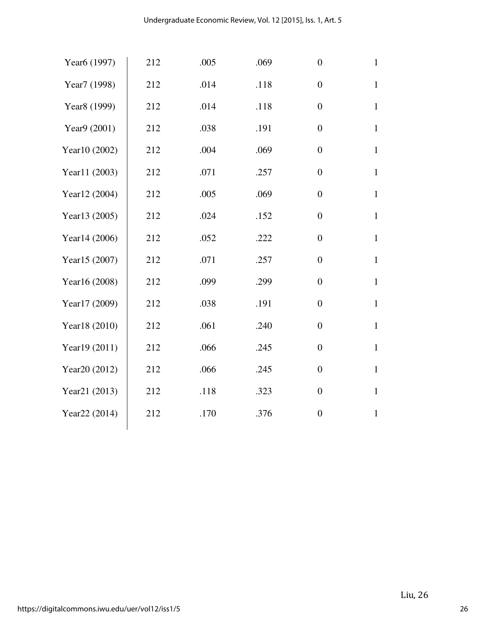| Year <sub>6</sub> (1997) | 212 | .005 | .069 | $\boldsymbol{0}$ | $\mathbf{1}$ |
|--------------------------|-----|------|------|------------------|--------------|
| Year7 (1998)             | 212 | .014 | .118 | $\boldsymbol{0}$ | $\mathbf{1}$ |
| Year <sub>8</sub> (1999) | 212 | .014 | .118 | $\boldsymbol{0}$ | $\mathbf{1}$ |
| Year9 (2001)             | 212 | .038 | .191 | $\overline{0}$   | $\mathbf{1}$ |
| Year10 (2002)            | 212 | .004 | .069 | $\boldsymbol{0}$ | $\mathbf{1}$ |
| Year11 (2003)            | 212 | .071 | .257 | $\overline{0}$   | $\mathbf{1}$ |
| Year12 (2004)            | 212 | .005 | .069 | $\boldsymbol{0}$ | $\mathbf{1}$ |
| Year13 (2005)            | 212 | .024 | .152 | $\boldsymbol{0}$ | $\mathbf{1}$ |
| Year14 (2006)            | 212 | .052 | .222 | $\boldsymbol{0}$ | $\mathbf{1}$ |
| Year15 (2007)            | 212 | .071 | .257 | $\boldsymbol{0}$ | $\mathbf{1}$ |
| Year16 (2008)            | 212 | .099 | .299 | $\overline{0}$   | $\mathbf{1}$ |
| Year17 (2009)            | 212 | .038 | .191 | $\boldsymbol{0}$ | $\mathbf{1}$ |
| Year18 (2010)            | 212 | .061 | .240 | $\boldsymbol{0}$ | $\mathbf 1$  |
| Year19 (2011)            | 212 | .066 | .245 | $\boldsymbol{0}$ | $\mathbf{1}$ |
| Year20 (2012)            | 212 | .066 | .245 | $\boldsymbol{0}$ | $\mathbf{1}$ |
| Year21 (2013)            | 212 | .118 | .323 | $\overline{0}$   | $\mathbf{1}$ |
| Year22 (2014)            | 212 | .170 | .376 | $\boldsymbol{0}$ | $\mathbf{1}$ |
|                          |     |      |      |                  |              |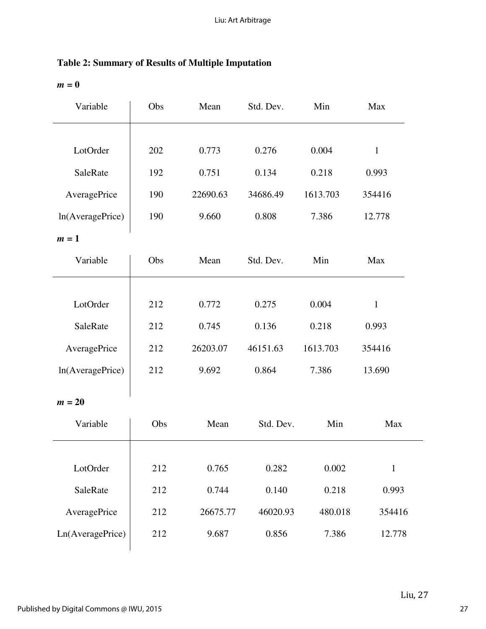| <b>Table 2: Summary of Results of Multiple Imputation</b> |  |  |  |
|-----------------------------------------------------------|--|--|--|
|-----------------------------------------------------------|--|--|--|

 $m = 0$ 

| Variable         | Obs | Mean     | Std. Dev. | Min      | Max          |
|------------------|-----|----------|-----------|----------|--------------|
|                  |     |          |           |          |              |
| LotOrder         | 202 | 0.773    | 0.276     | 0.004    | $\mathbf{1}$ |
| SaleRate         | 192 | 0.751    | 0.134     | 0.218    | 0.993        |
| AveragePrice     | 190 | 22690.63 | 34686.49  | 1613.703 | 354416       |
| ln(AveragePrice) | 190 | 9.660    | 0.808     | 7.386    | 12.778       |
| $m=1$            |     |          |           |          |              |
| Variable         | Obs | Mean     | Std. Dev. | Min      | Max          |
|                  |     |          |           |          |              |
| LotOrder         | 212 | 0.772    | 0.275     | 0.004    | $\mathbf{1}$ |
| SaleRate         | 212 | 0.745    | 0.136     | 0.218    | 0.993        |
| AveragePrice     | 212 | 26203.07 | 46151.63  | 1613.703 | 354416       |
| ln(AveragePrice) | 212 | 9.692    | 0.864     | 7.386    | 13.690       |
| $m = 20$         |     |          |           |          |              |
| Variable         | Obs | Mean     | Std. Dev. | Min      | Max          |
|                  |     |          |           |          |              |
| LotOrder         | 212 | 0.765    | 0.282     | 0.002    | $\mathbf{1}$ |
| SaleRate         | 212 | 0.744    | 0.140     | 0.218    | 0.993        |
| AveragePrice     | 212 | 26675.77 | 46020.93  | 480.018  | 354416       |
| Ln(AveragePrice) | 212 | 9.687    | 0.856     | 7.386    | 12.778       |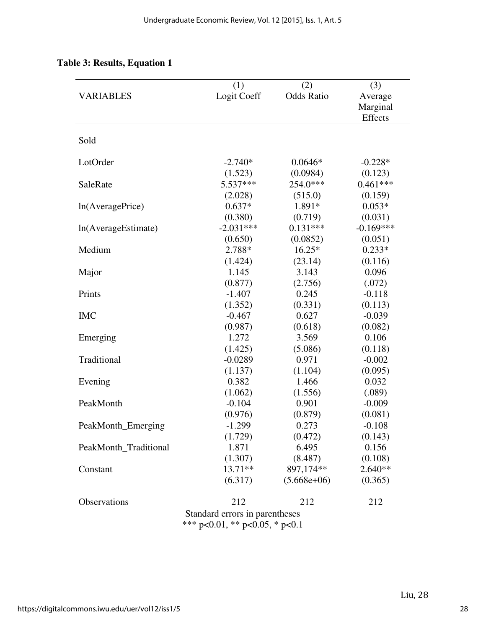|                       | (1)                            | (2)               | (3)         |  |
|-----------------------|--------------------------------|-------------------|-------------|--|
| <b>VARIABLES</b>      | Logit Coeff                    | <b>Odds Ratio</b> | Average     |  |
|                       |                                |                   | Marginal    |  |
|                       |                                |                   | Effects     |  |
| Sold                  |                                |                   |             |  |
|                       |                                |                   |             |  |
| LotOrder              | $-2.740*$                      | $0.0646*$         | $-0.228*$   |  |
|                       | (1.523)                        | (0.0984)          | (0.123)     |  |
| SaleRate              | $5.537***$                     | 254.0***          | $0.461***$  |  |
|                       | (2.028)                        | (515.0)           | (0.159)     |  |
| ln(AveragePrice)      | $0.637*$                       | 1.891*            | $0.053*$    |  |
|                       | (0.380)                        | (0.719)           | (0.031)     |  |
| ln(AverageEstimate)   | $-2.031***$                    | $0.131***$        | $-0.169***$ |  |
|                       | (0.650)                        | (0.0852)          | (0.051)     |  |
| Medium                | 2.788*                         | $16.25*$          | $0.233*$    |  |
|                       | (1.424)                        | (23.14)           | (0.116)     |  |
| Major                 | 1.145                          | 3.143             | 0.096       |  |
|                       | (0.877)                        | (2.756)           | (.072)      |  |
| Prints                | $-1.407$                       | 0.245             | $-0.118$    |  |
|                       | (1.352)                        | (0.331)           | (0.113)     |  |
| <b>IMC</b>            | $-0.467$                       | 0.627             | $-0.039$    |  |
|                       | (0.987)                        | (0.618)           | (0.082)     |  |
| Emerging              | 1.272                          | 3.569             | 0.106       |  |
|                       | (1.425)                        | (5.086)           | (0.118)     |  |
| Traditional           | $-0.0289$                      | 0.971             | $-0.002$    |  |
|                       | (1.137)                        | (1.104)           | (0.095)     |  |
| Evening               | 0.382                          | 1.466             | 0.032       |  |
|                       | (1.062)                        | (1.556)           | (.089)      |  |
| PeakMonth             | $-0.104$                       | 0.901             | $-0.009$    |  |
|                       | (0.976)                        | (0.879)           | (0.081)     |  |
| PeakMonth_Emerging    | $-1.299$                       | 0.273             | $-0.108$    |  |
|                       | (1.729)                        | (0.472)           | (0.143)     |  |
| PeakMonth_Traditional | 1.871                          | 6.495             | 0.156       |  |
|                       | (1.307)                        | (8.487)           | (0.108)     |  |
| Constant              | $13.71**$                      | 897,174**         | $2.640**$   |  |
|                       | (6.317)                        | $(5.668e+06)$     | (0.365)     |  |
| Observations          | 212                            | 212               | 212         |  |
|                       | Standard arrors in parantheses |                   |             |  |

### **Table 3: Results, Equation 1**

Standard errors in parentheses \*\*\* p<0.01, \*\* p<0.05, \* p<0.1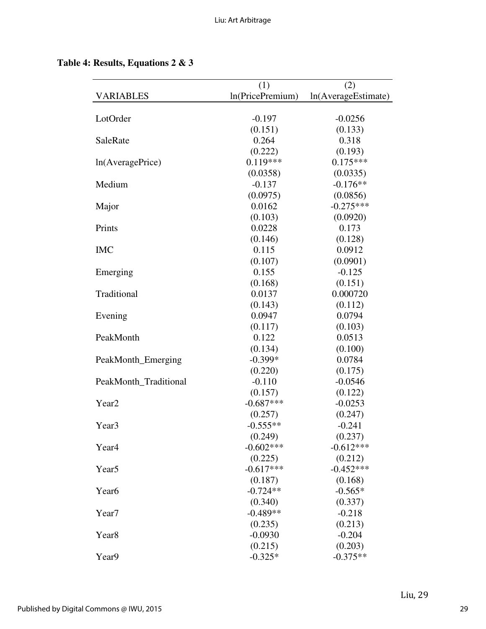## **Table 4: Results, Equations 2 & 3**

|                       | (1)              | (2)                 |
|-----------------------|------------------|---------------------|
| <b>VARIABLES</b>      | ln(PricePremium) | ln(AverageEstimate) |
|                       |                  |                     |
| LotOrder              | $-0.197$         | $-0.0256$           |
|                       | (0.151)          | (0.133)             |
| SaleRate              | 0.264            | 0.318               |
|                       | (0.222)          | (0.193)             |
| ln(AveragePrice)      | $0.119***$       | $0.175***$          |
|                       | (0.0358)         | (0.0335)            |
| Medium                | $-0.137$         | $-0.176**$          |
|                       | (0.0975)         | (0.0856)            |
| Major                 | 0.0162           | $-0.275***$         |
|                       | (0.103)          | (0.0920)            |
| Prints                | 0.0228           | 0.173               |
|                       | (0.146)          | (0.128)             |
| <b>IMC</b>            | 0.115            | 0.0912              |
|                       | (0.107)          | (0.0901)            |
| Emerging              | 0.155            | $-0.125$            |
|                       | (0.168)          | (0.151)             |
| Traditional           | 0.0137           | 0.000720            |
|                       | (0.143)          | (0.112)             |
| Evening               | 0.0947           | 0.0794              |
|                       | (0.117)          | (0.103)             |
| PeakMonth             | 0.122            | 0.0513              |
|                       | (0.134)          | (0.100)             |
| PeakMonth_Emerging    | $-0.399*$        | 0.0784              |
|                       | (0.220)          | (0.175)             |
| PeakMonth_Traditional | $-0.110$         | $-0.0546$           |
|                       | (0.157)          | (0.122)             |
| Year <sub>2</sub>     | $-0.687***$      | $-0.0253$           |
|                       | (0.257)          | (0.247)             |
| Year <sub>3</sub>     | $-0.555**$       | $-0.241$            |
|                       | (0.249)          | (0.237)             |
| Year <sub>4</sub>     | $-0.602***$      | $-0.612***$         |
|                       | (0.225)          | (0.212)             |
| Year <sub>5</sub>     | $-0.617***$      | $-0.452***$         |
|                       | (0.187)          | (0.168)             |
| Year <sub>6</sub>     | $-0.724**$       | $-0.565*$           |
|                       | (0.340)          | (0.337)             |
| Year7                 | $-0.489**$       | $-0.218$            |
|                       | (0.235)          | (0.213)             |
| Year <sub>8</sub>     | $-0.0930$        | $-0.204$            |
|                       | (0.215)          | (0.203)             |
| Year9                 | $-0.325*$        | $-0.375**$          |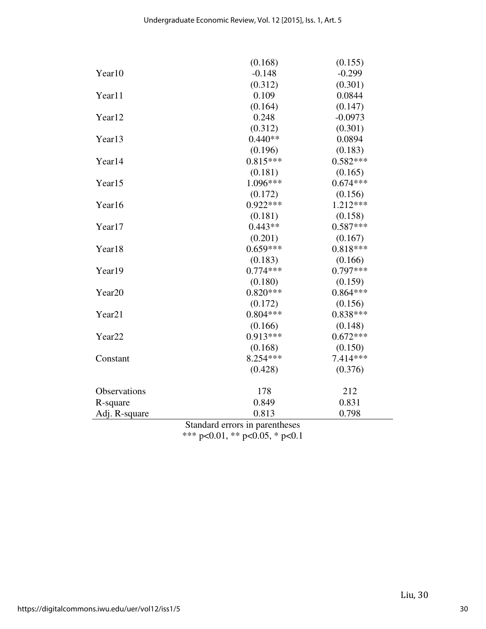|                                | (0.168)    | (0.155)    |  |
|--------------------------------|------------|------------|--|
| Year10                         | $-0.148$   | $-0.299$   |  |
|                                | (0.312)    | (0.301)    |  |
| Year11                         | 0.109      | 0.0844     |  |
|                                | (0.164)    | (0.147)    |  |
| Year12                         | 0.248      | $-0.0973$  |  |
|                                | (0.312)    | (0.301)    |  |
| Year13                         | $0.440**$  | 0.0894     |  |
|                                | (0.196)    | (0.183)    |  |
| Year14                         | $0.815***$ | $0.582***$ |  |
|                                | (0.181)    | (0.165)    |  |
| Year15                         | 1.096***   | $0.674***$ |  |
|                                | (0.172)    | (0.156)    |  |
| Year16                         | $0.922***$ | 1.212***   |  |
|                                | (0.181)    | (0.158)    |  |
| Year17                         | $0.443**$  | $0.587***$ |  |
|                                | (0.201)    | (0.167)    |  |
| Year18                         | $0.659***$ | $0.818***$ |  |
|                                | (0.183)    | (0.166)    |  |
| Year19                         | $0.774***$ | $0.797***$ |  |
|                                | (0.180)    | (0.159)    |  |
| Year20                         | $0.820***$ | $0.864***$ |  |
|                                | (0.172)    | (0.156)    |  |
| Year21                         | $0.804***$ | $0.838***$ |  |
|                                | (0.166)    | (0.148)    |  |
| Year <sub>22</sub>             | $0.913***$ | $0.672***$ |  |
|                                | (0.168)    | (0.150)    |  |
| Constant                       | 8.254 ***  | 7.414 ***  |  |
|                                | (0.428)    | (0.376)    |  |
| Observations                   | 178        | 212        |  |
| R-square                       | 0.849      | 0.831      |  |
| Adj. R-square                  | 0.813      | 0.798      |  |
| Standard errors in parentheses |            |            |  |

Standard errors in parentheses \*\*\* p<0.01, \*\* p<0.05, \* p<0.1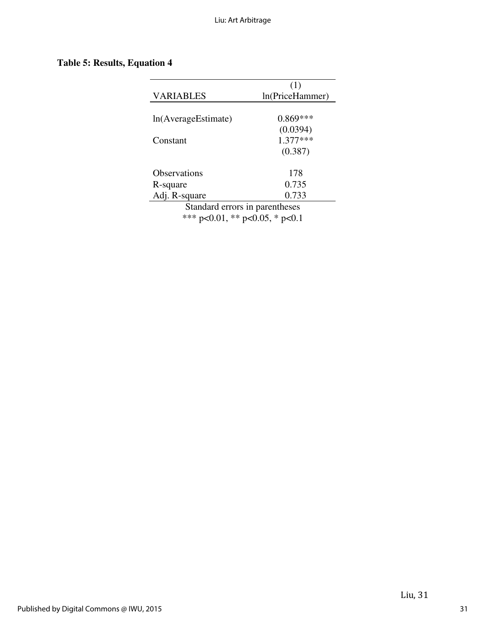# **Table 5: Results, Equation 4**

|                                | (1)             |  |
|--------------------------------|-----------------|--|
| VARIABLES                      | ln(PriceHammer) |  |
|                                |                 |  |
| In(AverageEstimate)            | $0.869***$      |  |
|                                | (0.0394)        |  |
| Constant                       | $1.377***$      |  |
|                                | (0.387)         |  |
| Observations                   | 178             |  |
| R-square                       | 0.735           |  |
| Adj. R-square                  | 0.733           |  |
| Standard errors in parentheses |                 |  |

\*\*\* p<0.01, \*\* p<0.05, \* p<0.1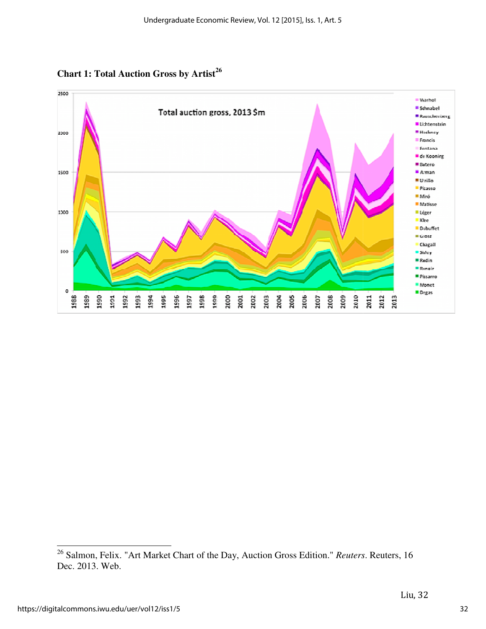**Chart 1: Total Auction Gross by Artist 26**



<sup>&</sup>lt;sup>26</sup> Salmon, Felix. "Art Market Chart of the Day, Auction Gross Edition." *Reuters*. Reuters, 16 Dec. 2013. Web.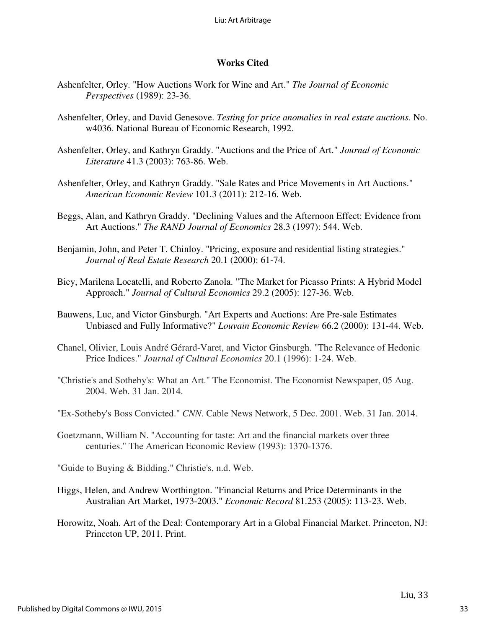### **Works Cited**

- Ashenfelter, Orley. "How Auctions Work for Wine and Art." *The Journal of Economic Perspectives* (1989): 23-36.
- Ashenfelter, Orley, and David Genesove. *Testing for price anomalies in real estate auctions*. No. w4036. National Bureau of Economic Research, 1992.
- Ashenfelter, Orley, and Kathryn Graddy. "Auctions and the Price of Art." *Journal of Economic Literature* 41.3 (2003): 763-86. Web.
- Ashenfelter, Orley, and Kathryn Graddy. "Sale Rates and Price Movements in Art Auctions." *American Economic Review* 101.3 (2011): 212-16. Web.
- Beggs, Alan, and Kathryn Graddy. "Declining Values and the Afternoon Effect: Evidence from Art Auctions." *The RAND Journal of Economics* 28.3 (1997): 544. Web.
- Benjamin, John, and Peter T. Chinloy. "Pricing, exposure and residential listing strategies." *Journal of Real Estate Research* 20.1 (2000): 61-74.
- Biey, Marilena Locatelli, and Roberto Zanola. "The Market for Picasso Prints: A Hybrid Model Approach." *Journal of Cultural Economics* 29.2 (2005): 127-36. Web.
- Bauwens, Luc, and Victor Ginsburgh. "Art Experts and Auctions: Are Pre-sale Estimates Unbiased and Fully Informative?" *Louvain Economic Review* 66.2 (2000): 131-44. Web.
- Chanel, Olivier, Louis André Gérard-Varet, and Victor Ginsburgh. "The Relevance of Hedonic Price Indices." *Journal of Cultural Economics* 20.1 (1996): 1-24. Web.
- "Christie's and Sotheby's: What an Art." The Economist. The Economist Newspaper, 05 Aug. 2004. Web. 31 Jan. 2014.
- "Ex-Sotheby's Boss Convicted." *CNN*. Cable News Network, 5 Dec. 2001. Web. 31 Jan. 2014.
- Goetzmann, William N. "Accounting for taste: Art and the financial markets over three centuries." The American Economic Review (1993): 1370-1376.
- "Guide to Buying & Bidding." Christie's, n.d. Web.
- Higgs, Helen, and Andrew Worthington. "Financial Returns and Price Determinants in the Australian Art Market, 1973-2003." *Economic Record* 81.253 (2005): 113-23. Web.
- Horowitz, Noah. Art of the Deal: Contemporary Art in a Global Financial Market. Princeton, NJ: Princeton UP, 2011. Print.